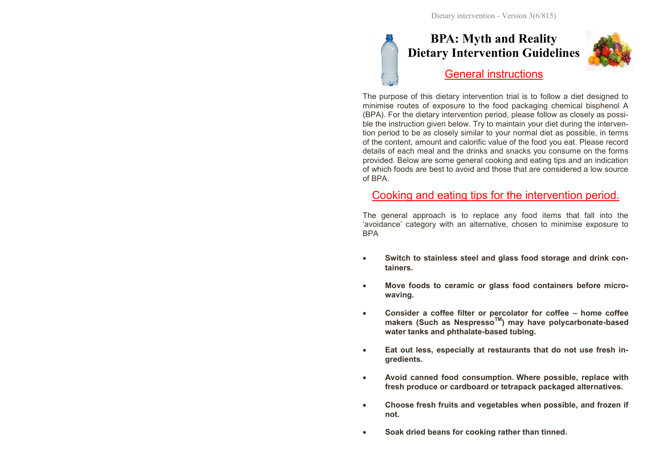# **BPA: Myth and Reality Dietary Intervention Guidelines** General instructions



The purpose of this dietary intervention trial is to follow a diet designed to minimise routes of exposure to the food packaging chemical bisphenol A (BPA). For the dietary intervention period, please follow as closely as possible the instruction given below. Try to maintain your diet during the intervention period to be as closely similar to your normal diet as possible, in terms of the content, amount and calorific value of the food you eat. Please record details of each meal and the drinks and snacks you consume on the forms provided. Below are some general cooking and eating tips and an indication of which foods are best to avoid and those that are considered a low source of BPA.

#### Cooking and eating tips for the intervention period.

The general approach is to replace any food items that fall into the 'avoidance' category with an alternative, chosen to minimise exposure to BPA

- **Switch to stainless steel and glass food storage and drink containers.**
- **Move foods to ceramic or glass food containers before microwaving.**
- **Consider a coffee filter or percolator for coffee – home coffee makers (Such as NespressoTM) may have polycarbonate-based water tanks and phthalate-based tubing.**
- **Eat out less, especially at restaurants that do not use fresh ingredients.**
- **Avoid canned food consumption. Where possible, replace with fresh produce or cardboard or tetrapack packaged alternatives.**
- **Choose fresh fruits and vegetables when possible, and frozen if not.**
- **Soak dried beans for cooking rather than tinned.**